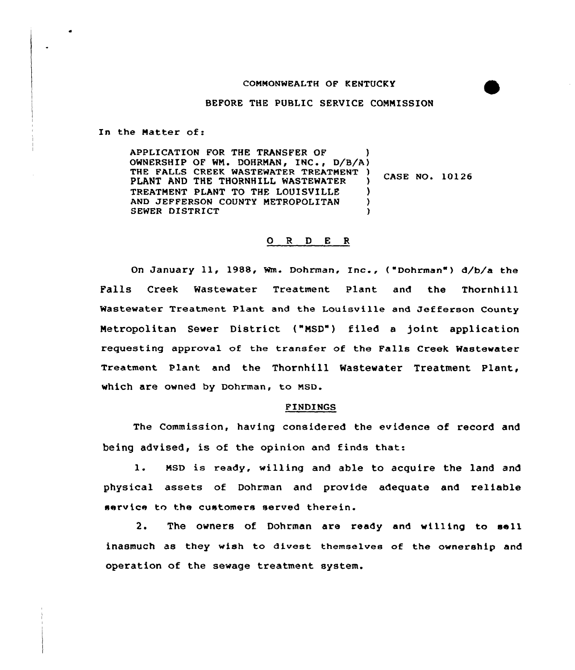## COMMONWEALTH OF KENTUCKY



## BEFORE THE PUBLIC SERVICE CONNISSION

In the Matter of:

APPLICATION FOR THE TRANSFER OF ) OWNERSHIP OF WN. DOHRNAN, INC , D/B/A) THE FALLS CREEK WASTEWATER TREATMENT )<br>DIANT AND THE THODNHILL WASTEWATER PLANT AND THE THORNHILL WASTEWATER TREATMENT PLANT TO THE LOUISVILLE )<br>AND JEFFERSON COUNTY METROPOLITAN ) AND JEFFERSON COUNTY METROPOLITAN (3) SEWER DISTRICT ) CASE NO, 10126

## O R D E R

On January ll, 1988, Wm. Dohrman, Inc., { Dohrman") 4/b/a the Falls Creek Wastewater Treatment Plant and the Thornhill Wastewater Treatment Plant and the Louisville and Jefferson County Netropolitan Sewer District ("NSD") filed <sup>a</sup> joint application requesting approval of the transfer of the Falls Creek Wastewater Treatment plant and the Thornhill Wastewater Treatment Plant, which are owned by Dohrman, to MSD.

## FINDINGS

The Commission, having considered the evidence of record and being advised, is of the opinion and finds that:

1. MSD is ready, willing and able to acquire the land and physical assets of Dohrman and provide adequate and reliable service to the customers served therein.

2. The owners of Dohrman are ready and willing to sell inasmuch as they wish to divest themselves of the ownership and operation of the sewage treatment system.